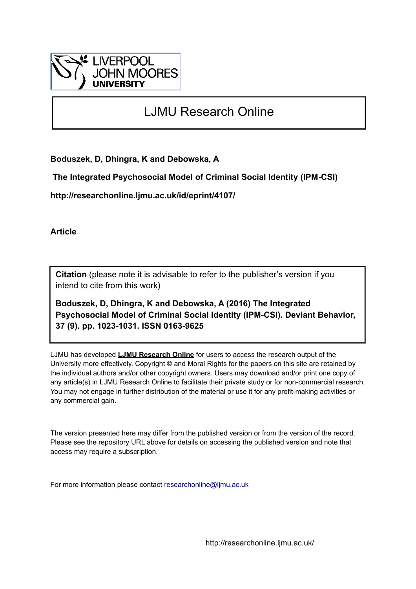

# LJMU Research Online

**Boduszek, D, Dhingra, K and Debowska, A**

 **The Integrated Psychosocial Model of Criminal Social Identity (IPM-CSI)**

**http://researchonline.ljmu.ac.uk/id/eprint/4107/**

**Article**

**Citation** (please note it is advisable to refer to the publisher's version if you intend to cite from this work)

**Boduszek, D, Dhingra, K and Debowska, A (2016) The Integrated Psychosocial Model of Criminal Social Identity (IPM-CSI). Deviant Behavior, 37 (9). pp. 1023-1031. ISSN 0163-9625** 

LJMU has developed **[LJMU Research Online](http://researchonline.ljmu.ac.uk/)** for users to access the research output of the University more effectively. Copyright © and Moral Rights for the papers on this site are retained by the individual authors and/or other copyright owners. Users may download and/or print one copy of any article(s) in LJMU Research Online to facilitate their private study or for non-commercial research. You may not engage in further distribution of the material or use it for any profit-making activities or any commercial gain.

The version presented here may differ from the published version or from the version of the record. Please see the repository URL above for details on accessing the published version and note that access may require a subscription.

For more information please contact [researchonline@ljmu.ac.uk](mailto:researchonline@ljmu.ac.uk)

http://researchonline.ljmu.ac.uk/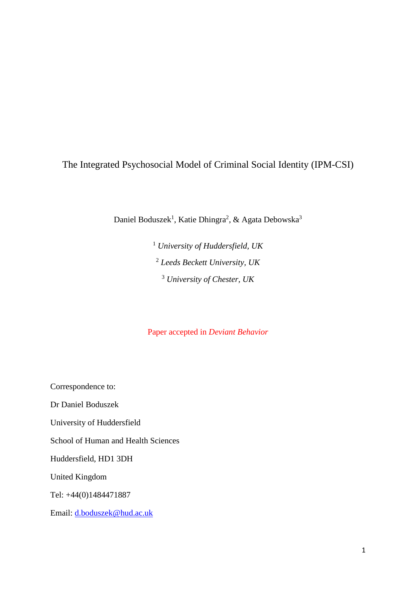# The Integrated Psychosocial Model of Criminal Social Identity (IPM-CSI)

Daniel Boduszek<sup>1</sup>, Katie Dhingra<sup>2</sup>, & Agata Debowska<sup>3</sup>

<sup>1</sup> *University of Huddersfield, UK* <sup>2</sup> *Leeds Beckett University, UK* <sup>3</sup> *University of Chester, UK*

Paper accepted in *Deviant Behavior*

Correspondence to:

Dr Daniel Boduszek

University of Huddersfield

School of Human and Health Sciences

Huddersfield, HD1 3DH

United Kingdom

Tel: +44(0)1484471887

Email: [d.boduszek@hud.ac.uk](mailto:d.boduszek@hud.ac.uk)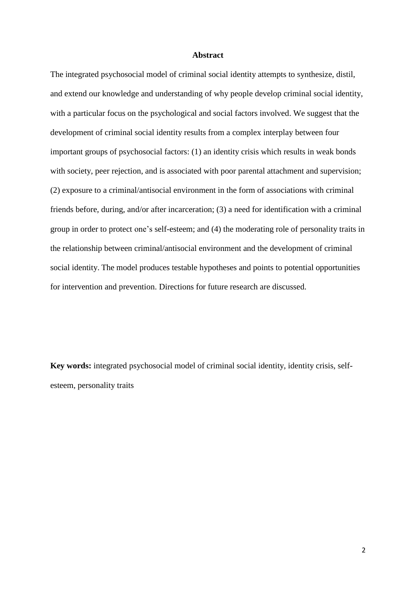## **Abstract**

The integrated psychosocial model of criminal social identity attempts to synthesize, distil, and extend our knowledge and understanding of why people develop criminal social identity, with a particular focus on the psychological and social factors involved. We suggest that the development of criminal social identity results from a complex interplay between four important groups of psychosocial factors: (1) an identity crisis which results in weak bonds with society, peer rejection, and is associated with poor parental attachment and supervision; (2) exposure to a criminal/antisocial environment in the form of associations with criminal friends before, during, and/or after incarceration; (3) a need for identification with a criminal group in order to protect one's self-esteem; and (4) the moderating role of personality traits in the relationship between criminal/antisocial environment and the development of criminal social identity. The model produces testable hypotheses and points to potential opportunities for intervention and prevention. Directions for future research are discussed.

**Key words:** integrated psychosocial model of criminal social identity, identity crisis, selfesteem, personality traits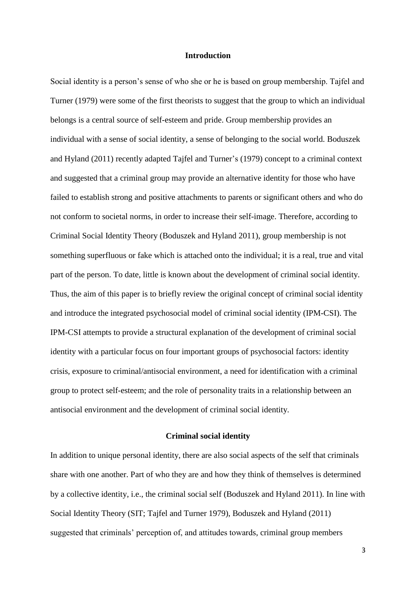#### **Introduction**

Social identity is a person's sense of who she or he is based on group membership. Tajfel and Turner (1979) were some of the first theorists to suggest that the group to which an individual belongs is a central source of self-esteem and pride. Group membership provides an individual with a sense of social identity, a sense of belonging to the social world. Boduszek and Hyland (2011) recently adapted Tajfel and Turner's (1979) concept to a criminal context and suggested that a criminal group may provide an alternative identity for those who have failed to establish strong and positive attachments to parents or significant others and who do not conform to societal norms, in order to increase their self-image. Therefore, according to Criminal Social Identity Theory (Boduszek and Hyland 2011), group membership is not something superfluous or fake which is attached onto the individual; it is a real, true and vital part of the person. To date, little is known about the development of criminal social identity. Thus, the aim of this paper is to briefly review the original concept of criminal social identity and introduce the integrated psychosocial model of criminal social identity (IPM-CSI). The IPM-CSI attempts to provide a structural explanation of the development of criminal social identity with a particular focus on four important groups of psychosocial factors: identity crisis, exposure to criminal/antisocial environment, a need for identification with a criminal group to protect self-esteem; and the role of personality traits in a relationship between an antisocial environment and the development of criminal social identity.

#### **Criminal social identity**

In addition to unique personal identity, there are also social aspects of the self that criminals share with one another. Part of who they are and how they think of themselves is determined by a collective identity, i.e., the criminal social self (Boduszek and Hyland 2011). In line with Social Identity Theory (SIT; Tajfel and Turner 1979), Boduszek and Hyland (2011) suggested that criminals' perception of, and attitudes towards, criminal group members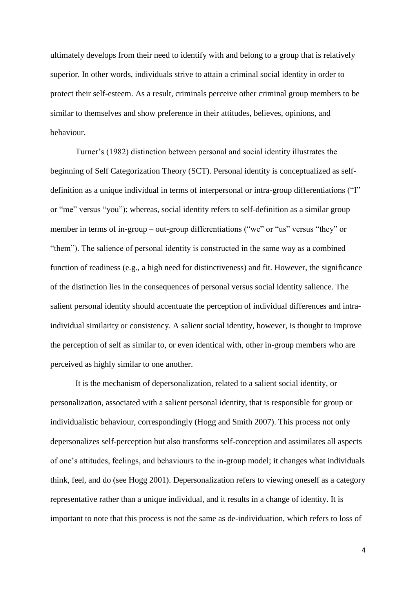ultimately develops from their need to identify with and belong to a group that is relatively superior. In other words, individuals strive to attain a criminal social identity in order to protect their self-esteem. As a result, criminals perceive other criminal group members to be similar to themselves and show preference in their attitudes, believes, opinions, and behaviour.

Turner's (1982) distinction between personal and social identity illustrates the beginning of Self Categorization Theory (SCT). Personal identity is conceptualized as selfdefinition as a unique individual in terms of interpersonal or intra-group differentiations ("I" or "me" versus "you"); whereas, social identity refers to self-definition as a similar group member in terms of in-group – out-group differentiations ("we" or "us" versus "they" or "them"). The salience of personal identity is constructed in the same way as a combined function of readiness (e.g., a high need for distinctiveness) and fit. However, the significance of the distinction lies in the consequences of personal versus social identity salience. The salient personal identity should accentuate the perception of individual differences and intraindividual similarity or consistency. A salient social identity, however, is thought to improve the perception of self as similar to, or even identical with, other in-group members who are perceived as highly similar to one another.

It is the mechanism of depersonalization, related to a salient social identity, or personalization, associated with a salient personal identity, that is responsible for group or individualistic behaviour, correspondingly (Hogg and Smith 2007). This process not only depersonalizes self-perception but also transforms self-conception and assimilates all aspects of one's attitudes, feelings, and behaviours to the in-group model; it changes what individuals think, feel, and do (see Hogg 2001). Depersonalization refers to viewing oneself as a category representative rather than a unique individual, and it results in a change of identity. It is important to note that this process is not the same as de-individuation, which refers to loss of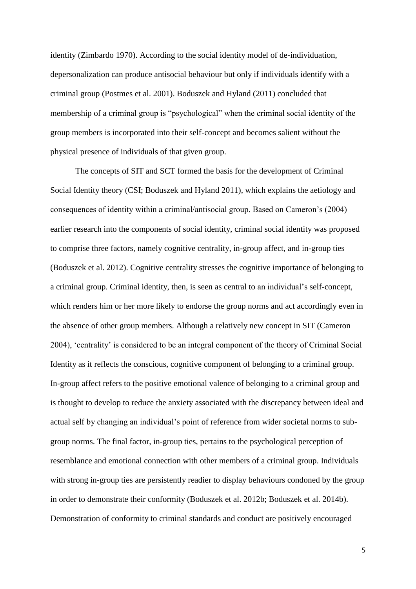identity (Zimbardo 1970). According to the social identity model of de-individuation, depersonalization can produce antisocial behaviour but only if individuals identify with a criminal group (Postmes et al. 2001). Boduszek and Hyland (2011) concluded that membership of a criminal group is "psychological" when the criminal social identity of the group members is incorporated into their self-concept and becomes salient without the physical presence of individuals of that given group.

The concepts of SIT and SCT formed the basis for the development of Criminal Social Identity theory (CSI; Boduszek and Hyland 2011), which explains the aetiology and consequences of identity within a criminal/antisocial group. Based on Cameron's (2004) earlier research into the components of social identity, criminal social identity was proposed to comprise three factors, namely cognitive centrality, in-group affect, and in-group ties (Boduszek et al. 2012). Cognitive centrality stresses the cognitive importance of belonging to a criminal group. Criminal identity, then, is seen as central to an individual's self-concept, which renders him or her more likely to endorse the group norms and act accordingly even in the absence of other group members. Although a relatively new concept in SIT (Cameron 2004), 'centrality' is considered to be an integral component of the theory of Criminal Social Identity as it reflects the conscious, cognitive component of belonging to a criminal group. In-group affect refers to the positive emotional valence of belonging to a criminal group and is thought to develop to reduce the anxiety associated with the discrepancy between ideal and actual self by changing an individual's point of reference from wider societal norms to subgroup norms. The final factor, in-group ties, pertains to the psychological perception of resemblance and emotional connection with other members of a criminal group. Individuals with strong in-group ties are persistently readier to display behaviours condoned by the group in order to demonstrate their conformity (Boduszek et al. 2012b; Boduszek et al. 2014b). Demonstration of conformity to criminal standards and conduct are positively encouraged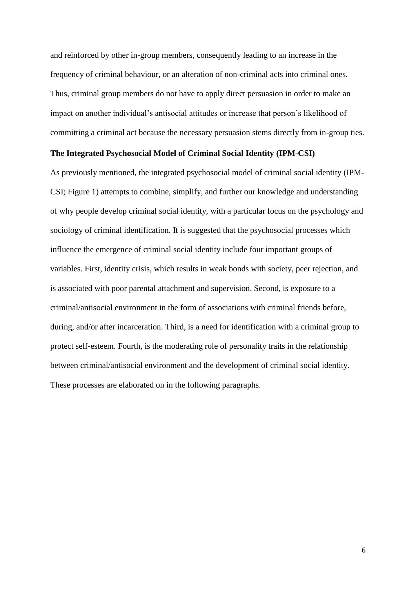and reinforced by other in-group members, consequently leading to an increase in the frequency of criminal behaviour, or an alteration of non-criminal acts into criminal ones. Thus, criminal group members do not have to apply direct persuasion in order to make an impact on another individual's antisocial attitudes or increase that person's likelihood of committing a criminal act because the necessary persuasion stems directly from in-group ties.

# **The Integrated Psychosocial Model of Criminal Social Identity (IPM-CSI)**

As previously mentioned, the integrated psychosocial model of criminal social identity (IPM-CSI; Figure 1) attempts to combine, simplify, and further our knowledge and understanding of why people develop criminal social identity, with a particular focus on the psychology and sociology of criminal identification. It is suggested that the psychosocial processes which influence the emergence of criminal social identity include four important groups of variables. First, identity crisis, which results in weak bonds with society, peer rejection, and is associated with poor parental attachment and supervision. Second, is exposure to a criminal/antisocial environment in the form of associations with criminal friends before, during, and/or after incarceration. Third, is a need for identification with a criminal group to protect self-esteem. Fourth, is the moderating role of personality traits in the relationship between criminal/antisocial environment and the development of criminal social identity. These processes are elaborated on in the following paragraphs.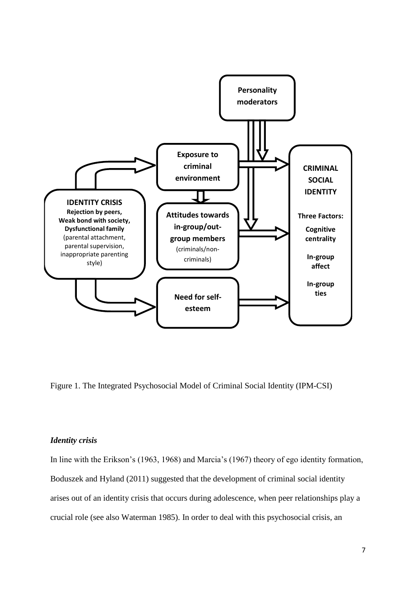

Figure 1. The Integrated Psychosocial Model of Criminal Social Identity (IPM-CSI)

# *Identity crisis*

In line with the Erikson's (1963, 1968) and Marcia's (1967) theory of ego identity formation, Boduszek and Hyland (2011) suggested that the development of criminal social identity arises out of an identity crisis that occurs during adolescence, when peer relationships play a crucial role (see also Waterman 1985). In order to deal with this psychosocial crisis, an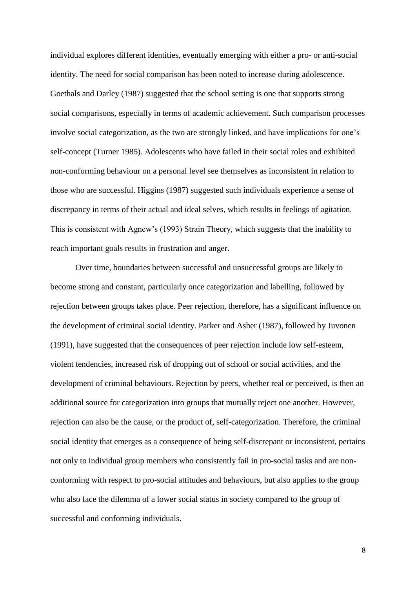individual explores different identities, eventually emerging with either a pro- or anti-social identity. The need for social comparison has been noted to increase during adolescence. Goethals and Darley (1987) suggested that the school setting is one that supports strong social comparisons, especially in terms of academic achievement. Such comparison processes involve social categorization, as the two are strongly linked, and have implications for one's self-concept (Turner 1985). Adolescents who have failed in their social roles and exhibited non-conforming behaviour on a personal level see themselves as inconsistent in relation to those who are successful. Higgins (1987) suggested such individuals experience a sense of discrepancy in terms of their actual and ideal selves, which results in feelings of agitation. This is consistent with Agnew's (1993) Strain Theory, which suggests that the inability to reach important goals results in frustration and anger.

Over time, boundaries between successful and unsuccessful groups are likely to become strong and constant, particularly once categorization and labelling, followed by rejection between groups takes place. Peer rejection, therefore, has a significant influence on the development of criminal social identity. Parker and Asher (1987), followed by Juvonen (1991), have suggested that the consequences of peer rejection include low self-esteem, violent tendencies, increased risk of dropping out of school or social activities, and the development of criminal behaviours. Rejection by peers, whether real or perceived, is then an additional source for categorization into groups that mutually reject one another. However, rejection can also be the cause, or the product of, self-categorization. Therefore, the criminal social identity that emerges as a consequence of being self-discrepant or inconsistent, pertains not only to individual group members who consistently fail in pro-social tasks and are nonconforming with respect to pro-social attitudes and behaviours, but also applies to the group who also face the dilemma of a lower social status in society compared to the group of successful and conforming individuals.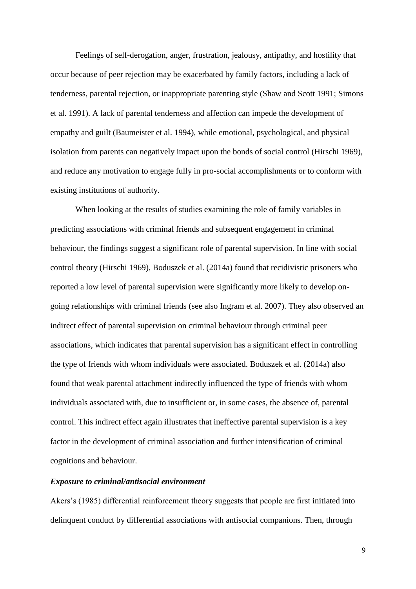Feelings of self-derogation, anger, frustration, jealousy, antipathy, and hostility that occur because of peer rejection may be exacerbated by family factors, including a lack of tenderness, parental rejection, or inappropriate parenting style (Shaw and Scott 1991; Simons et al. 1991). A lack of parental tenderness and affection can impede the development of empathy and guilt (Baumeister et al. 1994), while emotional, psychological, and physical isolation from parents can negatively impact upon the bonds of social control (Hirschi 1969), and reduce any motivation to engage fully in pro-social accomplishments or to conform with existing institutions of authority.

When looking at the results of studies examining the role of family variables in predicting associations with criminal friends and subsequent engagement in criminal behaviour, the findings suggest a significant role of parental supervision. In line with social control theory (Hirschi 1969), Boduszek et al. (2014a) found that recidivistic prisoners who reported a low level of parental supervision were significantly more likely to develop ongoing relationships with criminal friends (see also Ingram et al. 2007). They also observed an indirect effect of parental supervision on criminal behaviour through criminal peer associations, which indicates that parental supervision has a significant effect in controlling the type of friends with whom individuals were associated. Boduszek et al. (2014a) also found that weak parental attachment indirectly influenced the type of friends with whom individuals associated with, due to insufficient or, in some cases, the absence of, parental control. This indirect effect again illustrates that ineffective parental supervision is a key factor in the development of criminal association and further intensification of criminal cognitions and behaviour.

# *Exposure to criminal/antisocial environment*

Akers's (1985) differential reinforcement theory suggests that people are first initiated into delinquent conduct by differential associations with antisocial companions. Then, through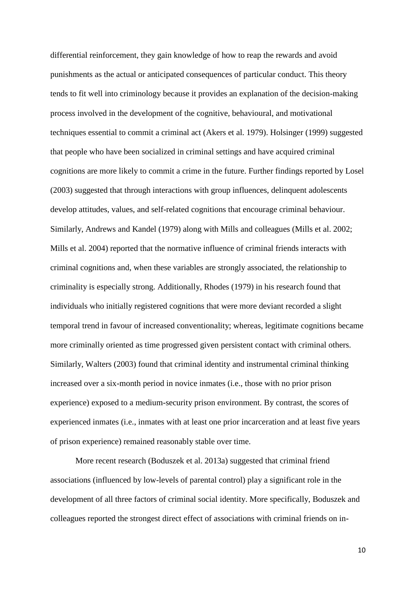differential reinforcement, they gain knowledge of how to reap the rewards and avoid punishments as the actual or anticipated consequences of particular conduct. This theory tends to fit well into criminology because it provides an explanation of the decision-making process involved in the development of the cognitive, behavioural, and motivational techniques essential to commit a criminal act (Akers et al. 1979). Holsinger (1999) suggested that people who have been socialized in criminal settings and have acquired criminal cognitions are more likely to commit a crime in the future. Further findings reported by Losel (2003) suggested that through interactions with group influences, delinquent adolescents develop attitudes, values, and self-related cognitions that encourage criminal behaviour. Similarly, Andrews and Kandel (1979) along with Mills and colleagues (Mills et al. 2002; Mills et al. 2004) reported that the normative influence of criminal friends interacts with criminal cognitions and, when these variables are strongly associated, the relationship to criminality is especially strong. Additionally, Rhodes (1979) in his research found that individuals who initially registered cognitions that were more deviant recorded a slight temporal trend in favour of increased conventionality; whereas, legitimate cognitions became more criminally oriented as time progressed given persistent contact with criminal others. Similarly, Walters (2003) found that criminal identity and instrumental criminal thinking increased over a six-month period in novice inmates (i.e., those with no prior prison experience) exposed to a medium-security prison environment. By contrast, the scores of experienced inmates (i.e., inmates with at least one prior incarceration and at least five years of prison experience) remained reasonably stable over time.

More recent research (Boduszek et al. 2013a) suggested that criminal friend associations (influenced by low-levels of parental control) play a significant role in the development of all three factors of criminal social identity. More specifically, Boduszek and colleagues reported the strongest direct effect of associations with criminal friends on in-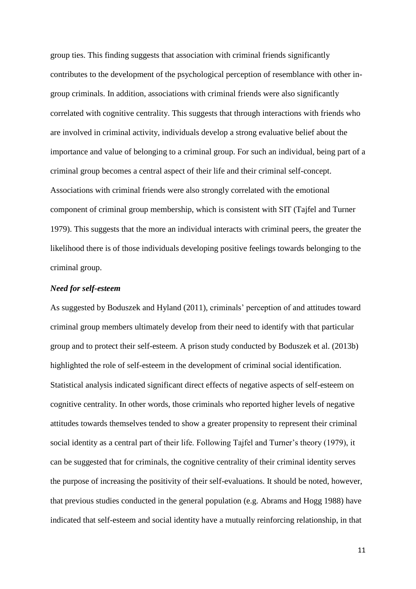group ties. This finding suggests that association with criminal friends significantly contributes to the development of the psychological perception of resemblance with other ingroup criminals. In addition, associations with criminal friends were also significantly correlated with cognitive centrality. This suggests that through interactions with friends who are involved in criminal activity, individuals develop a strong evaluative belief about the importance and value of belonging to a criminal group. For such an individual, being part of a criminal group becomes a central aspect of their life and their criminal self-concept. Associations with criminal friends were also strongly correlated with the emotional component of criminal group membership, which is consistent with SIT (Tajfel and Turner 1979). This suggests that the more an individual interacts with criminal peers, the greater the likelihood there is of those individuals developing positive feelings towards belonging to the criminal group.

## *Need for self-esteem*

As suggested by Boduszek and Hyland (2011), criminals' perception of and attitudes toward criminal group members ultimately develop from their need to identify with that particular group and to protect their self-esteem. A prison study conducted by Boduszek et al. (2013b) highlighted the role of self-esteem in the development of criminal social identification. Statistical analysis indicated significant direct effects of negative aspects of self-esteem on cognitive centrality. In other words, those criminals who reported higher levels of negative attitudes towards themselves tended to show a greater propensity to represent their criminal social identity as a central part of their life. Following Tajfel and Turner's theory (1979), it can be suggested that for criminals, the cognitive centrality of their criminal identity serves the purpose of increasing the positivity of their self-evaluations. It should be noted, however, that previous studies conducted in the general population (e.g. Abrams and Hogg 1988) have indicated that self-esteem and social identity have a mutually reinforcing relationship, in that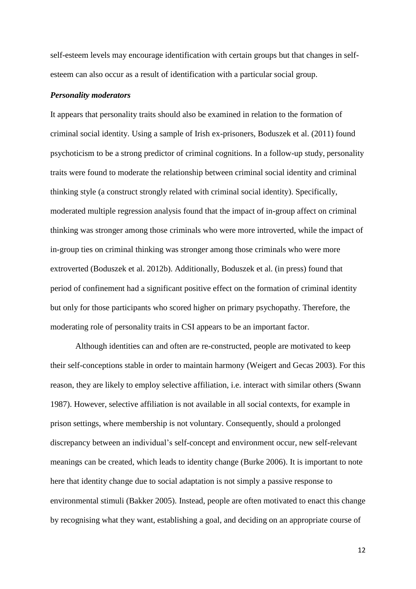self-esteem levels may encourage identification with certain groups but that changes in selfesteem can also occur as a result of identification with a particular social group.

#### *Personality moderators*

It appears that personality traits should also be examined in relation to the formation of criminal social identity. Using a sample of Irish ex-prisoners, Boduszek et al. (2011) found psychoticism to be a strong predictor of criminal cognitions. In a follow-up study, personality traits were found to moderate the relationship between criminal social identity and criminal thinking style (a construct strongly related with criminal social identity). Specifically, moderated multiple regression analysis found that the impact of in-group affect on criminal thinking was stronger among those criminals who were more introverted, while the impact of in-group ties on criminal thinking was stronger among those criminals who were more extroverted (Boduszek et al. 2012b). Additionally, Boduszek et al. (in press) found that period of confinement had a significant positive effect on the formation of criminal identity but only for those participants who scored higher on primary psychopathy. Therefore, the moderating role of personality traits in CSI appears to be an important factor.

Although identities can and often are re-constructed, people are motivated to keep their self-conceptions stable in order to maintain harmony (Weigert and Gecas 2003). For this reason, they are likely to employ selective affiliation, i.e. interact with similar others (Swann 1987). However, selective affiliation is not available in all social contexts, for example in prison settings, where membership is not voluntary. Consequently, should a prolonged discrepancy between an individual's self-concept and environment occur, new self-relevant meanings can be created, which leads to identity change (Burke 2006). It is important to note here that identity change due to social adaptation is not simply a passive response to environmental stimuli (Bakker 2005). Instead, people are often motivated to enact this change by recognising what they want, establishing a goal, and deciding on an appropriate course of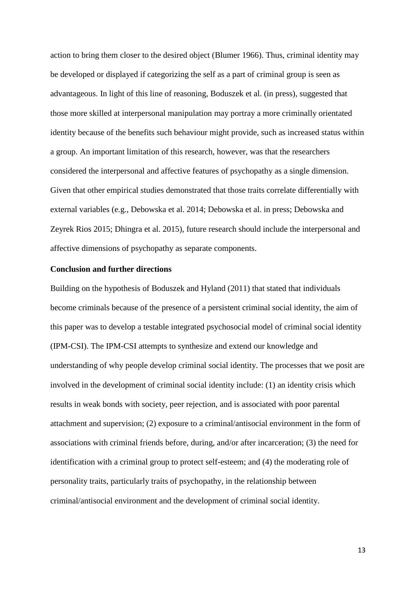action to bring them closer to the desired object (Blumer 1966). Thus, criminal identity may be developed or displayed if categorizing the self as a part of criminal group is seen as advantageous. In light of this line of reasoning, Boduszek et al. (in press), suggested that those more skilled at interpersonal manipulation may portray a more criminally orientated identity because of the benefits such behaviour might provide, such as increased status within a group. An important limitation of this research, however, was that the researchers considered the interpersonal and affective features of psychopathy as a single dimension. Given that other empirical studies demonstrated that those traits correlate differentially with external variables (e.g., Debowska et al. 2014; Debowska et al. in press; Debowska and Zeyrek Rios 2015; Dhingra et al. 2015), future research should include the interpersonal and affective dimensions of psychopathy as separate components.

# **Conclusion and further directions**

Building on the hypothesis of Boduszek and Hyland (2011) that stated that individuals become criminals because of the presence of a persistent criminal social identity, the aim of this paper was to develop a testable integrated psychosocial model of criminal social identity (IPM-CSI). The IPM-CSI attempts to synthesize and extend our knowledge and understanding of why people develop criminal social identity. The processes that we posit are involved in the development of criminal social identity include: (1) an identity crisis which results in weak bonds with society, peer rejection, and is associated with poor parental attachment and supervision; (2) exposure to a criminal/antisocial environment in the form of associations with criminal friends before, during, and/or after incarceration; (3) the need for identification with a criminal group to protect self-esteem; and (4) the moderating role of personality traits, particularly traits of psychopathy, in the relationship between criminal/antisocial environment and the development of criminal social identity.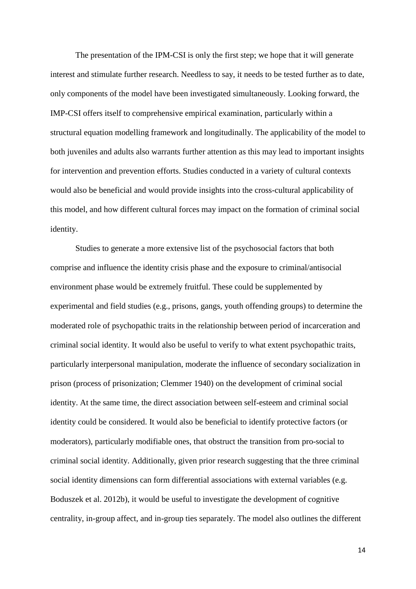The presentation of the IPM-CSI is only the first step; we hope that it will generate interest and stimulate further research. Needless to say, it needs to be tested further as to date, only components of the model have been investigated simultaneously. Looking forward, the IMP-CSI offers itself to comprehensive empirical examination, particularly within a structural equation modelling framework and longitudinally. The applicability of the model to both juveniles and adults also warrants further attention as this may lead to important insights for intervention and prevention efforts. Studies conducted in a variety of cultural contexts would also be beneficial and would provide insights into the cross-cultural applicability of this model, and how different cultural forces may impact on the formation of criminal social identity.

Studies to generate a more extensive list of the psychosocial factors that both comprise and influence the identity crisis phase and the exposure to criminal/antisocial environment phase would be extremely fruitful. These could be supplemented by experimental and field studies (e.g., prisons, gangs, youth offending groups) to determine the moderated role of psychopathic traits in the relationship between period of incarceration and criminal social identity. It would also be useful to verify to what extent psychopathic traits, particularly interpersonal manipulation, moderate the influence of secondary socialization in prison (process of prisonization; Clemmer 1940) on the development of criminal social identity. At the same time, the direct association between self-esteem and criminal social identity could be considered. It would also be beneficial to identify protective factors (or moderators), particularly modifiable ones, that obstruct the transition from pro-social to criminal social identity. Additionally, given prior research suggesting that the three criminal social identity dimensions can form differential associations with external variables (e.g. Boduszek et al. 2012b), it would be useful to investigate the development of cognitive centrality, in-group affect, and in-group ties separately. The model also outlines the different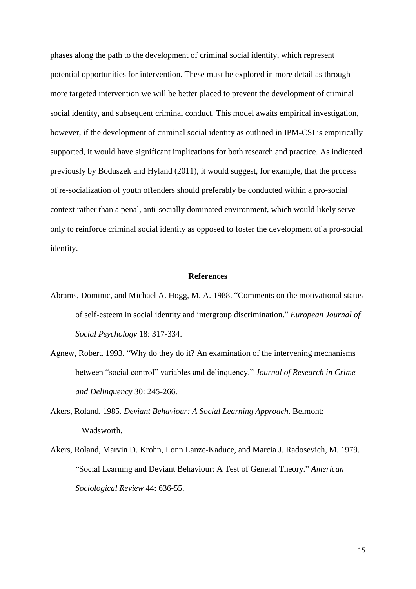phases along the path to the development of criminal social identity, which represent potential opportunities for intervention. These must be explored in more detail as through more targeted intervention we will be better placed to prevent the development of criminal social identity, and subsequent criminal conduct. This model awaits empirical investigation, however, if the development of criminal social identity as outlined in IPM-CSI is empirically supported, it would have significant implications for both research and practice. As indicated previously by Boduszek and Hyland (2011), it would suggest, for example, that the process of re-socialization of youth offenders should preferably be conducted within a pro-social context rather than a penal, anti-socially dominated environment, which would likely serve only to reinforce criminal social identity as opposed to foster the development of a pro-social identity.

#### **References**

- Abrams, Dominic, and Michael A. Hogg, M. A. 1988. "Comments on the motivational status of self-esteem in social identity and intergroup discrimination." *European Journal of Social Psychology* 18: 317-334.
- Agnew, Robert. 1993. "Why do they do it? An examination of the intervening mechanisms between "social control" variables and delinquency." *Journal of Research in Crime and Delinquency* 30: 245-266.
- Akers, Roland. 1985. *Deviant Behaviour: A Social Learning Approach*. Belmont: Wadsworth.
- Akers, Roland, Marvin D. Krohn, Lonn Lanze-Kaduce, and Marcia J. Radosevich, M. 1979. "Social Learning and Deviant Behaviour: A Test of General Theory." *American Sociological Review* 44: 636-55.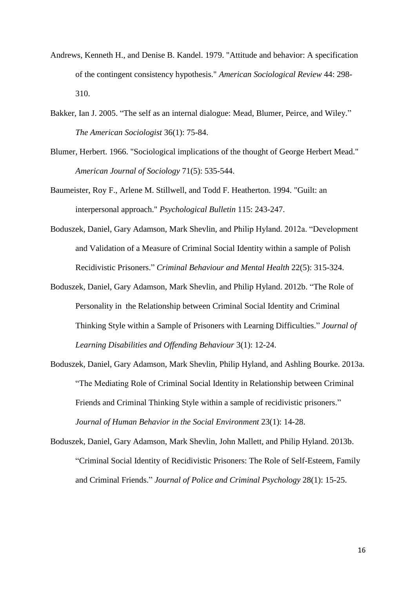- Andrews, Kenneth H., and Denise B. Kandel. 1979. "Attitude and behavior: A specification of the contingent consistency hypothesis." *American Sociological Review* 44: 298- 310.
- Bakker, Ian J. 2005. "The self as an internal dialogue: Mead, Blumer, Peirce, and Wiley." *The American Sociologist* 36(1): 75-84.
- Blumer, Herbert. 1966. "Sociological implications of the thought of George Herbert Mead." *American Journal of Sociology* 71(5): 535-544.
- Baumeister, Roy F., Arlene M. Stillwell, and Todd F. Heatherton. 1994. "Guilt: an interpersonal approach." *Psychological Bulletin* 115: 243-247.
- Boduszek, Daniel, Gary Adamson, Mark Shevlin, and Philip Hyland. 2012a. "Development and Validation of a Measure of Criminal Social Identity within a sample of Polish Recidivistic Prisoners." *Criminal Behaviour and Mental Health* 22(5): 315-324.
- Boduszek, Daniel, Gary Adamson, Mark Shevlin, and Philip Hyland. 2012b. "The Role of Personality in the Relationship between Criminal Social Identity and Criminal Thinking Style within a Sample of Prisoners with Learning Difficulties." *Journal of Learning Disabilities and Offending Behaviour* 3(1): 12-24.
- Boduszek, Daniel, Gary Adamson, Mark Shevlin, Philip Hyland, and Ashling Bourke. 2013a. "The Mediating Role of Criminal Social Identity in Relationship between Criminal Friends and Criminal Thinking Style within a sample of recidivistic prisoners." *Journal of Human Behavior in the Social Environment* 23(1): 14-28.
- Boduszek, Daniel, Gary Adamson, Mark Shevlin, John Mallett, and Philip Hyland. 2013b. "Criminal Social Identity of Recidivistic Prisoners: The Role of Self-Esteem, Family and Criminal Friends." *Journal of Police and Criminal Psychology* 28(1): 15-25.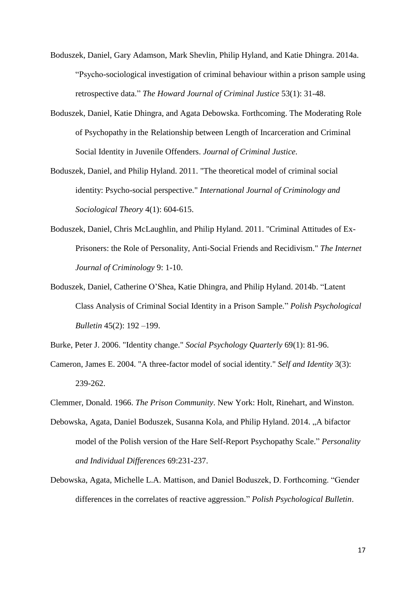- Boduszek, Daniel, Gary Adamson, Mark Shevlin, Philip Hyland, and Katie Dhingra. 2014a. "Psycho-sociological investigation of criminal behaviour within a prison sample using retrospective data." *The Howard Journal of Criminal Justice* 53(1): 31-48.
- Boduszek, Daniel, Katie Dhingra, and Agata Debowska. Forthcoming. The Moderating Role of Psychopathy in the Relationship between Length of Incarceration and Criminal Social Identity in Juvenile Offenders. *Journal of Criminal Justice.*
- Boduszek, Daniel, and Philip Hyland. 2011. "The theoretical model of criminal social identity: Psycho-social perspective." *International Journal of Criminology and Sociological Theory* 4(1): 604-615.
- Boduszek, Daniel, Chris McLaughlin, and Philip Hyland. 2011. "Criminal Attitudes of Ex-Prisoners: the Role of Personality, Anti-Social Friends and Recidivism." *The Internet Journal of Criminology* 9: 1-10.
- Boduszek, Daniel, Catherine O'Shea, Katie Dhingra, and Philip Hyland. 2014b. "Latent Class Analysis of Criminal Social Identity in a Prison Sample." *Polish Psychological Bulletin* 45(2): 192 –199.
- Burke, Peter J. 2006. "Identity change." *Social Psychology Quarterly* 69(1): 81-96.
- Cameron, James E. 2004. "A three-factor model of social identity." *Self and Identity* 3(3): 239-262.

Clemmer, Donald. 1966. *The Prison Community*. New York: Holt, Rinehart, and Winston.

- Debowska, Agata, Daniel Boduszek, Susanna Kola, and Philip Hyland. 2014. "A bifactor model of the Polish version of the Hare Self-Report Psychopathy Scale." *Personality and Individual Differences* 69:231-237.
- Debowska, Agata, Michelle L.A. Mattison, and Daniel Boduszek, D. Forthcoming. "Gender differences in the correlates of reactive aggression." *Polish Psychological Bulletin*.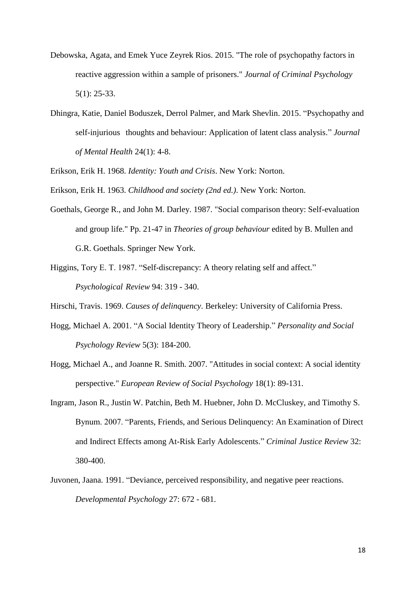- Debowska, Agata, and Emek Yuce Zeyrek Rios. 2015. "The role of psychopathy factors in reactive aggression within a sample of prisoners." *Journal of Criminal Psychology* 5(1): 25-33.
- Dhingra, Katie, Daniel Boduszek, Derrol Palmer, and Mark Shevlin. 2015. "Psychopathy and self-injurious thoughts and behaviour: Application of latent class analysis." *Journal of Mental Health* 24(1): 4-8.

Erikson, Erik H. 1968. *Identity: Youth and Crisis*. New York: Norton.

Erikson, Erik H. 1963. *Childhood and society (2nd ed.)*. New York: Norton.

- Goethals, George R., and John M. Darley. 1987. "Social comparison theory: Self-evaluation and group life." Pp. 21-47 in *Theories of group behaviour* edited by B. Mullen and G.R. Goethals. Springer New York.
- Higgins, Tory E. T. 1987. "Self-discrepancy: A theory relating self and affect." *Psychological Review* 94: 319 - 340.

Hirschi, Travis. 1969. *Causes of delinquency*. Berkeley: University of California Press.

- Hogg, Michael A. 2001. "A Social Identity Theory of Leadership." *Personality and Social Psychology Review* 5(3): 184-200.
- Hogg, Michael A., and Joanne R. Smith. 2007. "Attitudes in social context: A social identity perspective." *European Review of Social Psychology* 18(1): 89-131.
- Ingram, Jason R., Justin W. Patchin, Beth M. Huebner, John D. McCluskey, and Timothy S. Bynum. 2007. "Parents, Friends, and Serious Delinquency: An Examination of Direct and Indirect Effects among At-Risk Early Adolescents." *Criminal Justice Review* 32: 380-400.
- Juvonen, Jaana. 1991. "Deviance, perceived responsibility, and negative peer reactions. *Developmental Psychology* 27: 672 - 681.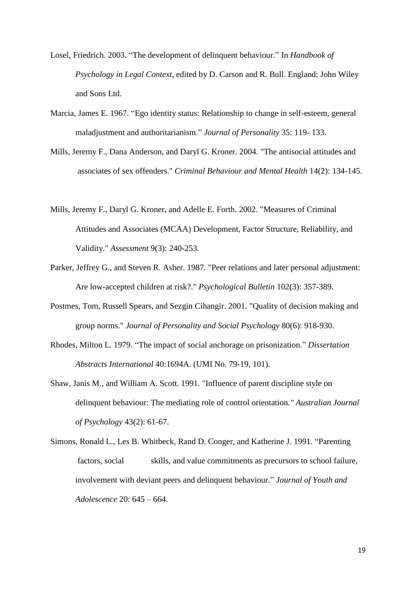- Losel, Friedrich. 2003. "The development of delinquent behaviour." In *Handbook of Psychology in Legal Context*, edited by D. Carson and R. Bull. England: John Wiley and Sons Ltd.
- Marcia, James E. 1967. "Ego identity status: Relationship to change in self-esteem, general maladjustment and authoritarianism." *Journal of Personality* 35: 119- 133.
- Mills, Jeremy F., Dana Anderson, and Daryl G. Kroner. 2004. "The antisocial attitudes and associates of sex offenders." *Criminal Behaviour and Mental Health* 14(2): 134-145.
- Mills, Jeremy F., Daryl G. Kroner, and Adelle E. Forth. 2002. "Measures of Criminal Attitudes and Associates (MCAA) Development, Factor Structure, Reliability, and Validity." *Assessment* 9(3): 240-253.
- Parker, Jeffrey G., and Steven R. Asher. 1987. "Peer relations and later personal adjustment: Are low-accepted children at risk?." *Psychological Bulletin* 102(3): 357-389.
- Postmes, Tom, Russell Spears, and Sezgin Cihangir. 2001. "Quality of decision making and group norms." *Journal of Personality and Social Psychology* 80(6): 918-930.
- Rhodes, Milton L. 1979. "The impact of social anchorage on prisonization." *Dissertation Abstracts International* 40:1694A. (UMI No. 79-19, 101).
- Shaw, Janis M., and William A. Scott. 1991. "Influence of parent discipline style on delinquent behaviour: The mediating role of control orientation*." Australian Journal of Psychology* 43(2): 61-67.
- Simons, Ronald L., Les B. Whitbeck, Rand D. Conger, and Katherine J. 1991. "Parenting factors, social skills, and value commitments as precursors to school failure, involvement with deviant peers and delinquent behaviour." *Journal of Youth and Adolescence* 20: 645 – 664.